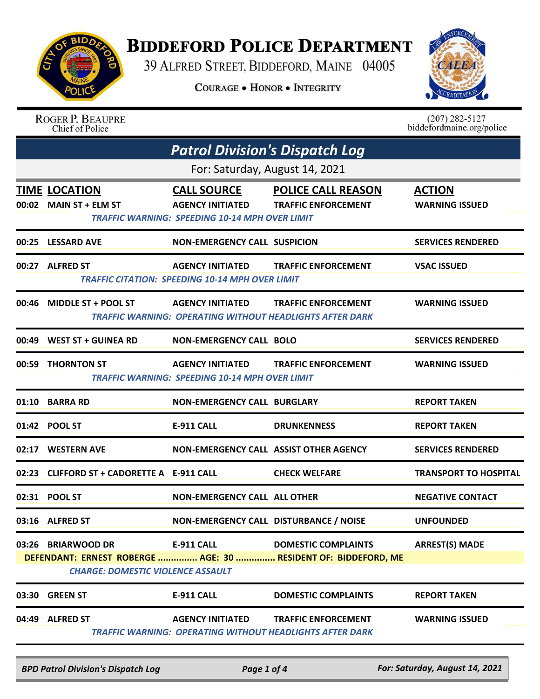

## **BIDDEFORD POLICE DEPARTMENT**

39 ALFRED STREET, BIDDEFORD, MAINE 04005

COURAGE . HONOR . INTEGRITY



|       | <b>ROGER P. BEAUPRE</b><br>Chief of Police                     |                                                                                                        |                                                                                               | $(207)$ 282-5127<br>biddefordmaine.org/police |
|-------|----------------------------------------------------------------|--------------------------------------------------------------------------------------------------------|-----------------------------------------------------------------------------------------------|-----------------------------------------------|
|       |                                                                | <b>Patrol Division's Dispatch Log</b>                                                                  |                                                                                               |                                               |
|       |                                                                | For: Saturday, August 14, 2021                                                                         |                                                                                               |                                               |
|       | TIME LOCATION<br>00:02 MAIN ST + ELM ST                        | <b>CALL SOURCE</b><br><b>AGENCY INITIATED</b><br><b>TRAFFIC WARNING: SPEEDING 10-14 MPH OVER LIMIT</b> | <b>POLICE CALL REASON</b><br><b>TRAFFIC ENFORCEMENT</b>                                       | <b>ACTION</b><br><b>WARNING ISSUED</b>        |
| 00:25 | <b>LESSARD AVE</b>                                             | <b>NON-EMERGENCY CALL SUSPICION</b>                                                                    |                                                                                               | <b>SERVICES RENDERED</b>                      |
| 00:27 | <b>ALFRED ST</b>                                               | <b>AGENCY INITIATED</b><br><b>TRAFFIC CITATION: SPEEDING 10-14 MPH OVER LIMIT</b>                      | <b>TRAFFIC ENFORCEMENT</b>                                                                    | <b>VSAC ISSUED</b>                            |
| 00:46 | <b>MIDDLE ST + POOL ST</b>                                     | <b>AGENCY INITIATED</b>                                                                                | <b>TRAFFIC ENFORCEMENT</b><br><b>TRAFFIC WARNING: OPERATING WITHOUT HEADLIGHTS AFTER DARK</b> | <b>WARNING ISSUED</b>                         |
| 00:49 | <b>WEST ST + GUINEA RD</b>                                     | <b>NON-EMERGENCY CALL BOLO</b>                                                                         |                                                                                               | <b>SERVICES RENDERED</b>                      |
|       | 00:59 THORNTON ST                                              | <b>AGENCY INITIATED</b><br><b>TRAFFIC WARNING: SPEEDING 10-14 MPH OVER LIMIT</b>                       | <b>TRAFFIC ENFORCEMENT</b>                                                                    | <b>WARNING ISSUED</b>                         |
| 01:10 | <b>BARRA RD</b>                                                | <b>NON-EMERGENCY CALL BURGLARY</b>                                                                     |                                                                                               | <b>REPORT TAKEN</b>                           |
|       |                                                                | <b>E-911 CALL</b>                                                                                      | <b>DRUNKENNESS</b>                                                                            | <b>REPORT TAKEN</b>                           |
| 02:17 | <b>WESTERN AVE</b>                                             | NON-EMERGENCY CALL ASSIST OTHER AGENCY                                                                 |                                                                                               | <b>SERVICES RENDERED</b>                      |
|       | 02:23 CLIFFORD ST + CADORETTE A E-911 CALL                     |                                                                                                        | <b>CHECK WELFARE</b>                                                                          | <b>TRANSPORT TO HOSPITAL</b>                  |
|       | 02:31 POOL ST                                                  | <b>NON-EMERGENCY CALL ALL OTHER</b>                                                                    |                                                                                               | <b>NEGATIVE CONTACT</b>                       |
|       | 03:16 ALFRED ST                                                | NON-EMERGENCY CALL DISTURBANCE / NOISE                                                                 |                                                                                               | <b>UNFOUNDED</b>                              |
|       | 03:26 BRIARWOOD DR<br><b>CHARGE: DOMESTIC VIOLENCE ASSAULT</b> | <b>E-911 CALL</b>                                                                                      | <b>DOMESTIC COMPLAINTS</b><br>DEFENDANT: ERNEST ROBERGE  AGE: 30  RESIDENT OF: BIDDEFORD, ME  | <b>ARREST(S) MADE</b>                         |
|       | 03:30 GREEN ST                                                 | <b>E-911 CALL</b>                                                                                      | <b>DOMESTIC COMPLAINTS</b>                                                                    | <b>REPORT TAKEN</b>                           |
|       | 04:49 ALFRED ST                                                | <b>AGENCY INITIATED</b>                                                                                | <b>TRAFFIC ENFORCEMENT</b><br><b>TRAFFIC WARNING: OPERATING WITHOUT HEADLIGHTS AFTER DARK</b> | <b>WARNING ISSUED</b>                         |

*BPD Patrol Division's Dispatch Log Page 1 of 4 For: Saturday, August 14, 2021*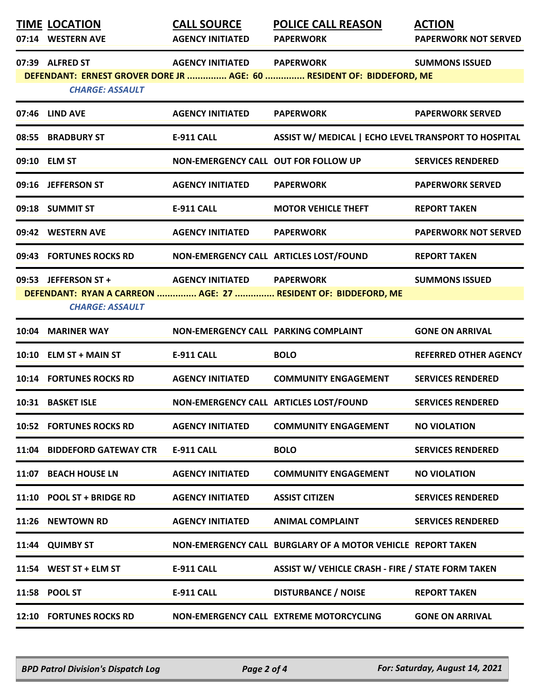| <b>TIME LOCATION</b><br>07:14 WESTERN AVE      | <b>CALL SOURCE</b><br><b>AGENCY INITIATED</b> | <b>POLICE CALL REASON</b><br><b>PAPERWORK</b>                         | <b>ACTION</b><br><b>PAPERWORK NOT SERVED</b> |
|------------------------------------------------|-----------------------------------------------|-----------------------------------------------------------------------|----------------------------------------------|
| 07:39 ALFRED ST<br><b>CHARGE: ASSAULT</b>      | <b>AGENCY INITIATED PAPERWORK</b>             | DEFENDANT: ERNEST GROVER DORE JR  AGE: 60  RESIDENT OF: BIDDEFORD, ME | <b>SUMMONS ISSUED</b>                        |
| 07:46 LIND AVE                                 | <b>AGENCY INITIATED</b>                       | <b>PAPERWORK</b>                                                      | <b>PAPERWORK SERVED</b>                      |
| 08:55 BRADBURY ST                              | <b>E-911 CALL</b>                             | ASSIST W/ MEDICAL   ECHO LEVEL TRANSPORT TO HOSPITAL                  |                                              |
| 09:10 ELM ST                                   | NON-EMERGENCY CALL OUT FOR FOLLOW UP          |                                                                       | <b>SERVICES RENDERED</b>                     |
| 09:16 JEFFERSON ST                             | <b>AGENCY INITIATED</b>                       | <b>PAPERWORK</b>                                                      | <b>PAPERWORK SERVED</b>                      |
| 09:18 SUMMIT ST                                | <b>E-911 CALL</b>                             | <b>MOTOR VEHICLE THEFT</b>                                            | <b>REPORT TAKEN</b>                          |
| 09:42 WESTERN AVE                              | <b>AGENCY INITIATED</b>                       | <b>PAPERWORK</b>                                                      | <b>PAPERWORK NOT SERVED</b>                  |
| 09:43 FORTUNES ROCKS RD                        |                                               | NON-EMERGENCY CALL ARTICLES LOST/FOUND                                | <b>REPORT TAKEN</b>                          |
| 09:53 JEFFERSON ST +<br><b>CHARGE: ASSAULT</b> | <b>AGENCY INITIATED PAPERWORK</b>             | DEFENDANT: RYAN A CARREON  AGE: 27  RESIDENT OF: BIDDEFORD, ME        | <b>SUMMONS ISSUED</b>                        |
| 10:04 MARINER WAY                              | NON-EMERGENCY CALL PARKING COMPLAINT          |                                                                       | <b>GONE ON ARRIVAL</b>                       |
| 10:10 ELM ST + MAIN ST                         | <b>E-911 CALL</b>                             | <b>BOLO</b>                                                           | <b>REFERRED OTHER AGENCY</b>                 |
| <b>10:14 FORTUNES ROCKS RD</b>                 | <b>AGENCY INITIATED</b>                       | <b>COMMUNITY ENGAGEMENT</b>                                           | <b>SERVICES RENDERED</b>                     |
| 10:31 BASKET ISLE                              | NON-EMERGENCY CALL ARTICLES LOST/FOUND        |                                                                       | <b>SERVICES RENDERED</b>                     |
| <b>10:52 FORTUNES ROCKS RD</b>                 | <b>AGENCY INITIATED</b>                       | <b>COMMUNITY ENGAGEMENT</b>                                           | <b>NO VIOLATION</b>                          |
| 11:04 BIDDEFORD GATEWAY CTR                    | <b>E-911 CALL</b>                             | <b>BOLO</b>                                                           | <b>SERVICES RENDERED</b>                     |
| 11:07 BEACH HOUSE LN                           | <b>AGENCY INITIATED</b>                       | <b>COMMUNITY ENGAGEMENT</b>                                           | <b>NO VIOLATION</b>                          |
| 11:10 POOL ST + BRIDGE RD                      | <b>AGENCY INITIATED</b>                       | <b>ASSIST CITIZEN</b>                                                 | <b>SERVICES RENDERED</b>                     |
| 11:26 NEWTOWN RD                               | <b>AGENCY INITIATED</b>                       | <b>ANIMAL COMPLAINT</b>                                               | <b>SERVICES RENDERED</b>                     |
| 11:44 QUIMBY ST                                |                                               | NON-EMERGENCY CALL BURGLARY OF A MOTOR VEHICLE REPORT TAKEN           |                                              |
| 11:54 WEST ST + ELM ST                         | <b>E-911 CALL</b>                             | <b>ASSIST W/ VEHICLE CRASH - FIRE / STATE FORM TAKEN</b>              |                                              |
| 11:58 POOL ST                                  | <b>E-911 CALL</b>                             | <b>DISTURBANCE / NOISE</b>                                            | <b>REPORT TAKEN</b>                          |
| <b>12:10 FORTUNES ROCKS RD</b>                 |                                               | NON-EMERGENCY CALL EXTREME MOTORCYCLING                               | <b>GONE ON ARRIVAL</b>                       |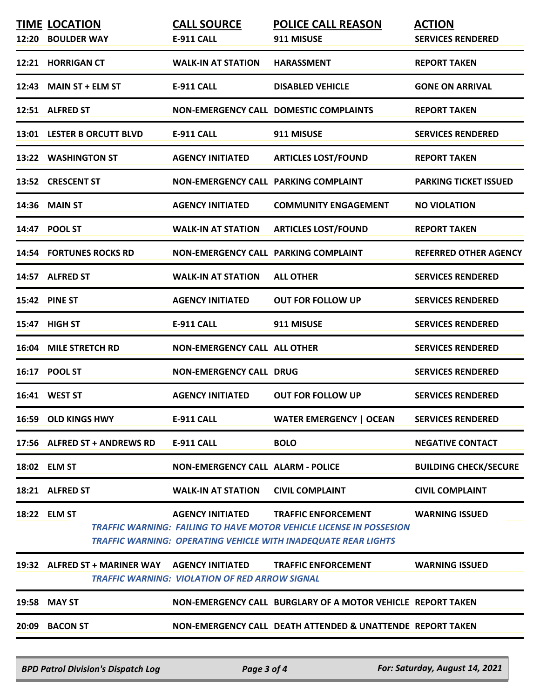|       | <b>TIME LOCATION</b><br>12:20 BOULDER WAY      | <b>CALL SOURCE</b><br><b>E-911 CALL</b>               | <b>POLICE CALL REASON</b><br>911 MISUSE                                                                                                                                           | <b>ACTION</b><br><b>SERVICES RENDERED</b> |
|-------|------------------------------------------------|-------------------------------------------------------|-----------------------------------------------------------------------------------------------------------------------------------------------------------------------------------|-------------------------------------------|
|       | 12:21 HORRIGAN CT                              | <b>WALK-IN AT STATION</b>                             | <b>HARASSMENT</b>                                                                                                                                                                 | <b>REPORT TAKEN</b>                       |
|       | 12:43 MAIN ST + ELM ST                         | <b>E-911 CALL</b>                                     | <b>DISABLED VEHICLE</b>                                                                                                                                                           | <b>GONE ON ARRIVAL</b>                    |
|       | 12:51 ALFRED ST                                |                                                       | <b>NON-EMERGENCY CALL DOMESTIC COMPLAINTS</b>                                                                                                                                     | <b>REPORT TAKEN</b>                       |
|       | 13:01 LESTER B ORCUTT BLVD                     | <b>E-911 CALL</b>                                     | 911 MISUSE                                                                                                                                                                        | <b>SERVICES RENDERED</b>                  |
|       | 13:22 WASHINGTON ST                            | <b>AGENCY INITIATED</b>                               | <b>ARTICLES LOST/FOUND</b>                                                                                                                                                        | <b>REPORT TAKEN</b>                       |
|       | 13:52 CRESCENT ST                              | NON-EMERGENCY CALL PARKING COMPLAINT                  |                                                                                                                                                                                   | <b>PARKING TICKET ISSUED</b>              |
|       | <b>14:36 MAIN ST</b>                           | <b>AGENCY INITIATED</b>                               | <b>COMMUNITY ENGAGEMENT</b>                                                                                                                                                       | <b>NO VIOLATION</b>                       |
|       | 14:47 POOL ST                                  | <b>WALK-IN AT STATION</b>                             | <b>ARTICLES LOST/FOUND</b>                                                                                                                                                        | <b>REPORT TAKEN</b>                       |
|       | <b>14:54 FORTUNES ROCKS RD</b>                 | NON-EMERGENCY CALL PARKING COMPLAINT                  |                                                                                                                                                                                   | <b>REFERRED OTHER AGENCY</b>              |
|       | 14:57 ALFRED ST                                | <b>WALK-IN AT STATION</b>                             | <b>ALL OTHER</b>                                                                                                                                                                  | <b>SERVICES RENDERED</b>                  |
|       | <b>15:42 PINE ST</b>                           | <b>AGENCY INITIATED</b>                               | <b>OUT FOR FOLLOW UP</b>                                                                                                                                                          | <b>SERVICES RENDERED</b>                  |
| 15:47 | <b>HIGH ST</b>                                 | <b>E-911 CALL</b>                                     | 911 MISUSE                                                                                                                                                                        | <b>SERVICES RENDERED</b>                  |
|       | <b>16:04 MILE STRETCH RD</b>                   | <b>NON-EMERGENCY CALL ALL OTHER</b>                   |                                                                                                                                                                                   | <b>SERVICES RENDERED</b>                  |
|       | 16:17 POOL ST                                  | <b>NON-EMERGENCY CALL DRUG</b>                        |                                                                                                                                                                                   | <b>SERVICES RENDERED</b>                  |
|       | 16:41 WEST ST                                  | <b>AGENCY INITIATED</b>                               | <b>OUT FOR FOLLOW UP</b>                                                                                                                                                          | <b>SERVICES RENDERED</b>                  |
|       | 16:59 OLD KINGS HWY                            | <b>E-911 CALL</b>                                     | <b>WATER EMERGENCY   OCEAN</b>                                                                                                                                                    | <b>SERVICES RENDERED</b>                  |
|       | 17:56 ALFRED ST + ANDREWS RD                   | <b>E-911 CALL</b>                                     | <b>BOLO</b>                                                                                                                                                                       | <b>NEGATIVE CONTACT</b>                   |
|       | 18:02 ELM ST                                   | <b>NON-EMERGENCY CALL ALARM - POLICE</b>              |                                                                                                                                                                                   | <b>BUILDING CHECK/SECURE</b>              |
|       | 18:21 ALFRED ST                                | <b>WALK-IN AT STATION</b>                             | <b>CIVIL COMPLAINT</b>                                                                                                                                                            | <b>CIVIL COMPLAINT</b>                    |
|       | 18:22 ELM ST                                   | <b>AGENCY INITIATED</b>                               | <b>TRAFFIC ENFORCEMENT</b><br><b>TRAFFIC WARNING: FAILING TO HAVE MOTOR VEHICLE LICENSE IN POSSESION</b><br><b>TRAFFIC WARNING: OPERATING VEHICLE WITH INADEQUATE REAR LIGHTS</b> | <b>WARNING ISSUED</b>                     |
|       | 19:32 ALFRED ST + MARINER WAY AGENCY INITIATED | <b>TRAFFIC WARNING: VIOLATION OF RED ARROW SIGNAL</b> | <b>TRAFFIC ENFORCEMENT</b>                                                                                                                                                        | <b>WARNING ISSUED</b>                     |
|       | 19:58 MAY ST                                   |                                                       | NON-EMERGENCY CALL BURGLARY OF A MOTOR VEHICLE REPORT TAKEN                                                                                                                       |                                           |
|       | 20:09 BACON ST                                 |                                                       | NON-EMERGENCY CALL DEATH ATTENDED & UNATTENDE REPORT TAKEN                                                                                                                        |                                           |
|       |                                                |                                                       |                                                                                                                                                                                   |                                           |

*BPD Patrol Division's Dispatch Log Page 3 of 4 For: Saturday, August 14, 2021*